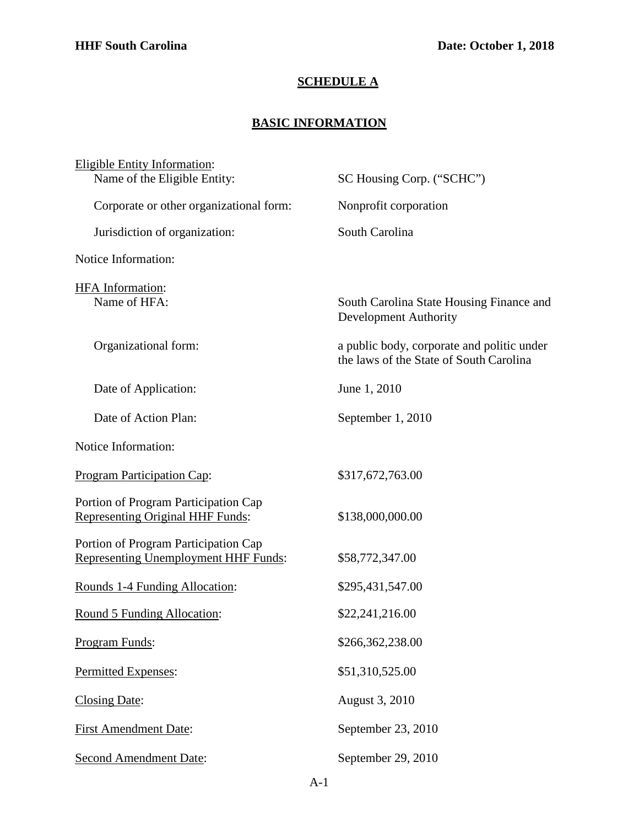## **SCHEDULE A**

## **BASIC INFORMATION**

| Eligible Entity Information:                                                        |                                                                                       |
|-------------------------------------------------------------------------------------|---------------------------------------------------------------------------------------|
| Name of the Eligible Entity:                                                        | SC Housing Corp. ("SCHC")                                                             |
| Corporate or other organizational form:                                             | Nonprofit corporation                                                                 |
| Jurisdiction of organization:                                                       | South Carolina                                                                        |
| Notice Information:                                                                 |                                                                                       |
| <b>HFA</b> Information:<br>Name of HFA:                                             | South Carolina State Housing Finance and<br><b>Development Authority</b>              |
| Organizational form:                                                                | a public body, corporate and politic under<br>the laws of the State of South Carolina |
| Date of Application:                                                                | June 1, 2010                                                                          |
| Date of Action Plan:                                                                | September 1, 2010                                                                     |
| Notice Information:                                                                 |                                                                                       |
| <b>Program Participation Cap:</b>                                                   | \$317,672,763.00                                                                      |
| Portion of Program Participation Cap<br>Representing Original HHF Funds:            | \$138,000,000.00                                                                      |
| Portion of Program Participation Cap<br><b>Representing Unemployment HHF Funds:</b> | \$58,772,347.00                                                                       |
| Rounds 1-4 Funding Allocation:                                                      | \$295,431,547.00                                                                      |
| Round 5 Funding Allocation:                                                         | \$22,241,216.00                                                                       |
| Program Funds:                                                                      | \$266,362,238.00                                                                      |
| Permitted Expenses:                                                                 | \$51,310,525.00                                                                       |
| Closing Date:                                                                       | August 3, 2010                                                                        |
| <b>First Amendment Date:</b>                                                        | September 23, 2010                                                                    |
| <b>Second Amendment Date:</b>                                                       | September 29, 2010                                                                    |